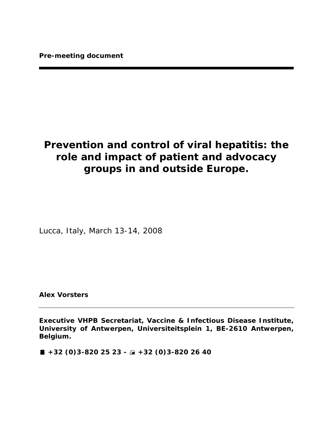# **Prevention and control of viral hepatitis: the role and impact of patient and advocacy groups in and outside Europe.**

Lucca, Italy, March 13-14, 2008

**Alex Vorsters** 

**Executive VHPB Secretariat, Vaccine & Infectious Disease Institute, University of Antwerpen, Universiteitsplein 1, BE-2610 Antwerpen, Belgium.** 

**■ +32 (0)3-820 25 23 - a +32 (0)3-820 26 40**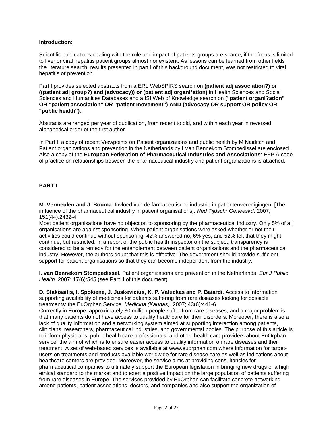#### **Introduction:**

Scientific publications dealing with the role and impact of patients groups are scarce, if the focus is limited to liver or viral hepatitis patient groups almost nonexistent. As lessons can be learned from other fields the literature search, results presented in part I of this background document, was not restricted to viral hepatitis or prevention.

Part I provides selected abstracts from a ERL WebSPIRS search on **(patient adj association?) or ((patient adj group?) and (advocacy)) or (patient adj organi\*ation)** in Health Sciences and Social Sciences and Humanities Databases and a ISI Web of Knowledge search on **("patient organi?ation" OR "patient association" OR "patient movement") AND (advocacy OR support OR policy OR "public health")**.

Abstracts are ranged per year of publication, from recent to old, and within each year in reversed alphabetical order of the first author.

In Part II a copy of recent Viewpoints on Patient organizations and public health by M Naiditch and Patient organizations and prevention in the Netherlands by I Van Bennekom Stompedissel are enclosed. Also a copy of the **European Federation of Pharmaceutical Industries and Associations**: EFPIA code of practice on relationships between the pharmaceutical industry and patient organizations is attached.

#### **PART I**

**M. Vermeulen and J. Bouma.** Invloed van de farmaceutische industrie in patientenverenigingen. [The influence of the pharmaceutical industry in patient organisations]. *Ned Tijdschr Geneeskd*. 2007; 151(44):2432-4

Most patient organisations have no objection to sponsoring by the pharmaceutical industry. Only 5% of all organisations are against sponsoring. When patient organisations were asked whether or not their activities could continue without sponsoring, 42% answered no, 6% yes, and 52% felt that they might continue, but restricted. In a report of the public health inspector on the subject, transparency is considered to be a remedy for the entanglement between patient organisations and the pharmaceutical industry. However, the authors doubt that this is effective. The government should provide sufficient support for patient organisations so that they can become independent from the industry.

**I. van Bennekom Stompedissel.** Patient organizations and prevention in the Netherlands. *Eur J Public Health*. 2007; 17(6):545 (see Part II of this document)

**D. Stakisaitis, I. Spokiene, J. Juskevicius, K. P. Valuckas and P. Baiardi.** Access to information supporting availability of medicines for patients suffering from rare diseases looking for possible treatments: the EuOrphan Service. *Medicina (Kaunas)*. 2007; 43(6):441-6 Currently in Europe, approximately 30 million people suffer from rare diseases, and a major problem is that many patients do not have access to quality healthcare for their disorders. Moreover, there is also a lack of quality information and a networking system aimed at supporting interaction among patients, clinicians, researchers, pharmaceutical industries, and governmental bodies. The purpose of this article is to inform physicians, public health care professionals, and other health care providers about EuOrphan service, the aim of which is to ensure easier access to quality information on rare diseases and their treatment. A set of web-based services is available at www.euorphan.com where information for targetusers on treatments and products available worldwide for rare disease care as well as indications about healthcare centers are provided. Moreover, the service aims at providing consultancies for pharmaceutical companies to ultimately support the European legislation in bringing new drugs of a high ethical standard to the market and to exert a positive impact on the large population of patients suffering from rare diseases in Europe. The services provided by EuOrphan can facilitate concrete networking among patients, patient associations, doctors, and companies and also support the organization of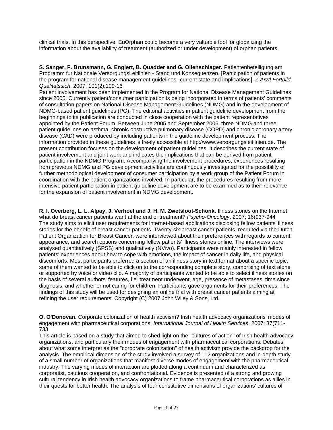clinical trials. In this perspective, EuOrphan could become a very valuable tool for globalizing the information about the availability of treatment (authorized or under development) of orphan patients.

**S. Sanger, F. Brunsmann, G. Englert, B. Quadder and G. Ollenschlager.** Patientenbeteiligung am Programm fur Nationale VersorgungsLeitlinien - Stand und Konsequenzen. [Participation of patients in the program for national disease management guidelines--current state and implications]. *Z Arztl Fortbild Qualitatssich*. 2007; 101(2):109-16

Patient involvement has been implemented in the Program for National Disease Management Guidelines since 2005. Currently patient/consumer participation is being incorporated in terms of patients' comments of consultation papers on National Disease Management Guidelines (NDMG) and in the development of NDMG-based patient guidelines (PG). The editorial activities in patient guideline development from the beginnings to its publication are conducted in close cooperation with the patient representatives appointed by the Patient Forum. Between June 2005 and September 2006, three NDMG and three patient guidelines on asthma, chronic obstructive pulmonary disease (COPD) and chronic coronary artery disease (CAD) were produced by including patients in the guideline development process. The information provided in these guidelines is freely accessible at http://www.versorgungsleitlinien.de. The present contribution focuses on the development of patient guidelines. It describes the current state of patient involvement and joint work and indicates the implications that can be derived from patient participation in the NDMG Program. Accompanying the involvement procedures, experiences resulting from previous NDMG and PG development activities are continuously investigated for the possibility of further methodological development of consumer participation by a work group of the Patient Forum in coordination with the patient organizations involved. In particular, the procedures resulting from more intensive patient participation in patient guideline development are to be examined as to their relevance for the expansion of patient involvement in NDMG development.

**R. I. Overberg, L. L. Alpay, J. Verhoef and J. H. M. Zwetsloot-Schonk.** Illness stories on the Internet: what do breast cancer patients want at the end of treatment? *Psycho-Oncology*. 2007; 16(937-944 The study aims to elicit user requirements for internet-based applications disclosing fellow patients' illness stories for the benefit of breast cancer patients. Twenty-six breast cancer patients, recruited via the Dutch Patient Organization for Breast Cancer, were interviewed about their preferences with regards to content, appearance, and search options concerning fellow patients' illness stories online. The interviews were analysed quantitatively (SPSS) and qualitatively (NVivo). Participants were mainly interested in fellow patients' experiences about how to cope with emotions, the impact of cancer in daily life, and physical discomforts. Most participants preferred a section of an illness story in text format about a specific topic; some of them wanted to be able to click on to the corresponding complete story, comprising of text alone or supported by voice or video clip. A majority of participants wanted to be able to select illness stories on the basis of several authors' features, i.e. treatment underwent, age, presence of metastases, time since diagnosis, and whether or not caring for children. Participants gave arguments for their preferences. The findings of this study will be used for designing an online trial with breast cancer patients aiming at refining the user requirements. Copyright (C) 2007 John Wiley & Sons, Ltd.

**O. O'Donovan.** Corporate colonization of health activism? Irish health advocacy organizations' modes of engagement with pharmaceutical corporations. *International Journal of Health Services*. 2007; 37(711- 733

This article is based on a study that aimed to shed light on the "cultures of action" of Irish health advocacy organizations, and particularly their modes of engagement with pharmaceutical corporations. Debates about what some interpret as the "corporate colonization" of health activism provide the backdrop for the analysis. The empirical dimension of the study involved a survey of 112 organizations and in-depth study of a small number of organizations that manifest diverse modes of engagement with the pharmaceutical industry. The varying modes of interaction are plotted along a continuum and characterized as corporatist, cautious cooperation, and confrontational. Evidence is presented of a strong and growing cultural tendency in Irish health advocacy organizations to frame pharmaceutical corporations as allies in their quests for better health. The analysis of four constitutive dimensions of organizations' cultures of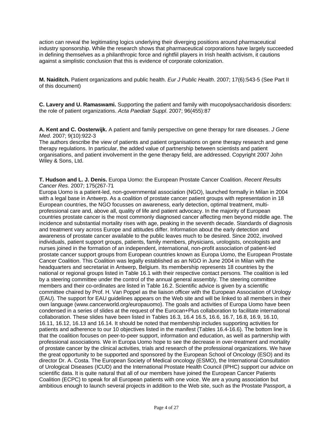action can reveal the legitimating logics underlying their diverging positions around pharmaceutical industry sponsorship. While the research shows that pharmaceutical corporations have largely succeeded in defining themselves as a philanthropic force and rightfiil players in Irish health activism, it cautions against a simplistic conclusion that this is evidence of corporate colonization.

**M. Naiditch.** Patient organizations and public health. *Eur J Public Health*. 2007; 17(6):543-5 (See Part II of this document)

**C. Lavery and U. Ramaswami.** Supporting the patient and family with mucopolysaccharidosis disorders: the role of patient organizations. *Acta Paediatr Suppl*. 2007; 96(455):87

**A. Kent and C. Oosterwijk.** A patient and family perspective on gene therapy for rare diseases. *J Gene Med*. 2007; 9(10):922-3

The authors describe the view of patients and patient organisations on gene therapy research and gene therapy regulations. In particular, the added value of partnership between scientists and patient organisations, and patient involvement in the gene therapy field, are addressed. Copyright 2007 John Wiley & Sons, Ltd.

**T. Hudson and L. J. Denis.** Europa Uomo: the European Prostate Cancer Coalition. *Recent Results Cancer Res*. 2007; 175(267-71

Europa Uomo is a patient-led, non-governmental association (NGO), launched formally in Milan in 2004 with a legal base in Antwerp. As a coalition of prostate cancer patient groups with representation in 18 European countries, the NGO focusses on awareness, early detection, optimal treatment, multiprofessional care and, above all, quality of life and patient advocacy. In the majority of European countries prostate cancer is the most commonly diagnosed cancer affecting men beyond middle age. The incidence and substantial mortality rises with age, peaking in the seventh decade. Standards of diagnosis and treatment vary across Europe and attitudes differ. Information about the early detection and awareness of prostate cancer available to the public leaves much to be desired. Since 2002, involved individuals, patient support groups, patients, family members, physicians, urologists, oncologists and nurses joined in the formation of an independent, international, non-profit association of patient-led prostate cancer support groups from European countries known as Europa Uomo, the European Prostate Cancer Coalition. This Coalition was legally established as an NGO in June 2004 in Milan with the headquarters and secretariat in Antwerp, Belgium. Its membership represents 18 countries by the national or regional groups listed in Table 16.1 with their respective contact persons. The coalition is led by a steering committee under the control of the annual general assembly. The steering committee members and their co-ordinates are listed in Table 16.2. Scientific advice is given by a scientific committee chaired by Prof. H. Van Poppel as the liaison officer with the European Association of Urology (EAU). The support for EAU guidelines appears on the Web site and will be linked to all members in their own language (www.cancerworld.org/europauomo). The goals and activities of Europa Uomo have been condensed in a series of slides at the request of the Eurocan+Plus collaboration to facilitate international collaboration. These slides have been listed in Tables 16.3, 16.4 16.5, 16.6, 16.7, 16.8, 16.9, 16.10, 16.11, 16.12, 16.13 and 16.14. It should be noted that membership includes supporting activities for patients and adherence to our 10 objectives listed in the manifest (Tables 16.4-16.6). The bottom line is that the coalition focuses on peer-to-peer support, information and education, as well as partnership with professional associations. We in Europa Uomo hope to see the decrease in over-treatment and mortality of prostate cancer by the clinical activities, trials and research of the professional organizations. We have the great opportunity to be supported and sponsored by the European School of Oncology (ESO) and its director Dr. A. Costa. The European Society of Medical oncology (ESMO), the International Consultation of Urological Diseases (ICUD) and the International Prostate Health Council (IPHC) support our advice on scientific data. It is quite natural that all of our members have joined the European Cancer Patients Coalition (ECPC) to speak for all European patients with one voice. We are a young association but ambitious enough to launch several projects in addition to the Web site, such as the Prostate Passport, a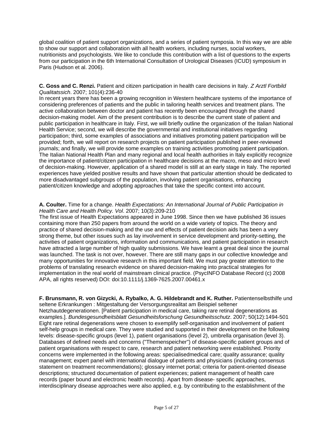global coalition of patient support organizations, and a series of patient symposia. In this way we are able to show our support and collaboration with all health workers, including nurses, social workers, nutritionists and psychologists. We like to conclude this contribution with a list of questions to the experts from our participation in the 6th International Consultation of Urological Diseases (ICUD) symposium in Paris (Hudson et al. 2006).

**C. Goss and C. Renzi.** Patient and citizen participation in health care decisions in Italy. *Z Arztl Fortbild Qualitatssich*. 2007; 101(4):236-40

In recent years there has been a growing recognition in Western healthcare systems of the importance of considering preferences of patients and the public in tailoring health services and treatment plans. The active collaboration between doctor and patient has recently been encouraged through the shared decision-making model. Aim of the present contribution is to describe the current state of patient and public participation in healthcare in Italy. First, we will briefly outline the organization of the Italian National Health Service; second, we will describe the governmental and institutional initiatives regarding participation; third, some examples of associations and initiatives promoting patient participation will be provided; forth, we will report on research projects on patient participation published in peer-reviewed journals; and finally, we will provide some examples on training activities promoting patient participation. The Italian National Health Plan and many regional and local health authorities in Italy explicitly recognize the importance of patient/citizen participation in healthcare decisions at the macro, meso and micro level of decision-making. However, application of a shared model is still at an early stage in Italy. The reported experiences have yielded positive results and have shown that particular attention should be dedicated to more disadvantaged subgroups of the population, involving patient organisations, enhancing patient/citizen knowledge and adopting approaches that take the specific context into account.

#### **A. Coulter.** Time for a change. *Health Expectations: An International Journal of Public Participation in Health Care and Health Policy. Vol*. 2007; 10(3):209-210

The first issue of Health Expectations appeared in June 1998. Since then we have published 36 issues containing more than 250 papers from around the world on a wide variety of topics. The theory and practice of shared decision-making and the use and effects of patient decision aids has been a very strong theme, but other issues such as lay involvement in service development and priority-setting, the activities of patient organizations, information and communications, and patient participation in research have attracted a large number of high quality submissions. We have learnt a great deal since the journal was launched. The task is not over, however. There are still many gaps in our collective knowledge and many opportunities for innovative research in this important field. We must pay greater attention to the problems of translating research evidence on shared decision-making into practical strategies for implementation in the real world of mainstream clinical practice. (PsycINFO Database Record (c) 2008 APA, all rights reserved) DOI: doi:10.1111/j.1369-7625.2007.00461.x

**F. Brunsmann, R. von Gizycki, A. Rybalko, A. G. Hildebrandt and K. Ruther.** Patientenselbsthilfe und seltene Erkrankungen : Mitgestaltung der Versorgungsrealitat am Beispiel seltener Netzhautdegenerationen. [Patient participation in medical care, taking rare retinal degenerations as examples.]. *Bundesgesundheitsblatt Gesundheitsforschung Gesundheitsschutz*. 2007; 50(12):1494-501 Eight rare retinal degenerations were chosen to exemplify self-organisation and involvement of patient self-help groups in medical care. They were studied and supported in their development on the following levels: disease-specific groups (level 1), patient organisations (level 2), umbrella organisation (level 3). Databases of defined needs and concerns ("Themenspeicher") of disease-specific patient groups and of patient organisations with respect to care, research and patient networking were established. Priority concerns were implemented in the following areas: specialisedmedical care; quality assurance; quality management; expert panel with international dialogue of patients and physicians (including consensus statement on treatment recommendations); glossary internet portal; criteria for patient-oriented disease descriptions; structured documentation of patient experiences; patient management of health care records (paper bound and electronic health records). Apart from disease- specific approaches, interdisciplinary disease approaches were also applied, e.g. by contributing to the establishment of the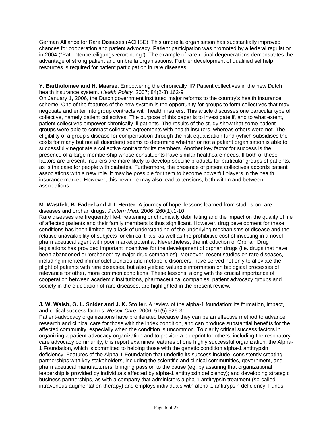German Alliance for Rare Diseases (ACHSE). This umbrella organisation has substantially improved chances for cooperation and patient advocacy. Patient participation was promoted by a federal regulation in 2004 ("Patientenbeteiligungsverordnung"). The example of rare retinal degenerations demonstrates the advantage of strong patient and umbrella organisations. Further development of qualified selfhelp resources is required for patient participation in rare diseases.

#### **Y. Bartholomee and H. Maarse.** Empowering the chronically ill? Patient collectives in the new Dutch health insurance system. *Health Policy*. 2007; 84(2-3):162-9

On January 1, 2006, the Dutch government instituted major reforms to the country's health insurance scheme. One of the features of the new system is the opportunity for groups to form collectives that may negotiate and enter into group contracts with health insurers. This article discusses one particular type of collective, namely patient collectives. The purpose of this paper is to investigate if, and to what extent, patient collectives empower chronically ill patients. The results of the study show that some patient groups were able to contract collective agreements with health insurers, whereas others were not. The eligibility of a group's disease for compensation through the risk equalisation fund (which subsidises the costs for many but not all disorders) seems to determine whether or not a patient organisation is able to successfully negotiate a collective contract for its members. Another key factor for success is the presence of a large membership whose constituents have similar healthcare needs. If both of these factors are present, insurers are more likely to develop specific products for particular groups of patients, as is the case for people with diabetes. Furthermore, the presence of patient collectives accords patient associations with a new role. It may be possible for them to become powerful players in the health insurance market. However, this new role may also lead to tensions, both within and between associations.

**M. Wastfelt, B. Fadeel and J. I. Henter.** A journey of hope: lessons learned from studies on rare diseases and orphan drugs. *J Intern Med*. 2006; 260(1):1-10

Rare diseases are frequently life-threatening or chronically debilitating and the impact on the quality of life of affected patients and their family members is thus significant. However, drug development for these conditions has been limited by a lack of understanding of the underlying mechanisms of disease and the relative unavailability of subjects for clinical trials, as well as the prohibitive cost of investing in a novel pharmaceutical agent with poor market potential. Nevertheless, the introduction of Orphan Drug legislations has provided important incentives for the development of orphan drugs (i.e. drugs that have been abandoned or 'orphaned' by major drug companies). Moreover, recent studies on rare diseases, including inherited immunodeficiencies and metabolic disorders, have served not only to alleviate the plight of patients with rare diseases, but also yielded valuable information on biological processes of relevance for other, more common conditions. These lessons, along with the crucial importance of cooperation between academic institutions, pharmaceutical companies, patient advocacy groups and society in the elucidation of rare diseases, are highlighted in the present review.

**J. W. Walsh, G. L. Snider and J. K. Stoller.** A review of the alpha-1 foundation: its formation, impact, and critical success factors. *Respir Care*. 2006; 51(5):526-31

Patient-advocacy organizations have proliferated because they can be an effective method to advance research and clinical care for those with the index condition, and can produce substantial benefits for the affected community, especially when the condition is uncommon. To clarify critical success factors in organizing a patient-advocacy organization and to provide a blueprint for others, including the respiratorycare advocacy community, this report examines features of one highly successful organization, the Alpha-1 Foundation, which is committed to helping those with the genetic condition alpha-1 antitrypsin deficiency. Features of the Alpha-1 Foundation that underlie its success include: consistently creating partnerships with key stakeholders, including the scientific and clinical communities, government, and pharmaceutical manufacturers; bringing passion to the cause (eg, by assuring that organizational leadership is provided by individuals affected by alpha-1 antitrypsin deficiency); and developing strategic business partnerships, as with a company that administers alpha-1 antitrypsin treatment (so-called intravenous augmentation therapy) and employs individuals with alpha-1 antitrypsin deficiency. Funds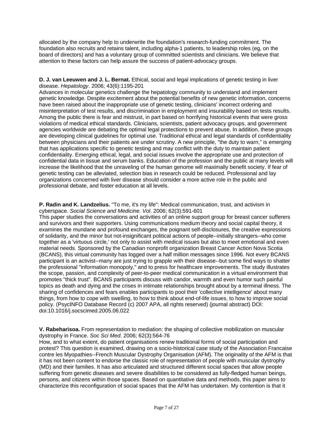allocated by the company help to underwrite the foundation's research-funding commitment. The foundation also recruits and retains talent, including alpha-1 patients, to leadership roles (eg, on the board of directors) and has a voluntary group of committed scientists and clinicians. We believe that attention to these factors can help assure the success of patient-advocacy groups.

**D. J. van Leeuwen and J. L. Bernat.** Ethical, social and legal implications of genetic testing in liver disease. *Hepatology*. 2006; 43(6):1195-201

Advances in molecular genetics challenge the hepatology community to understand and implement genetic knowledge. Despite excitement about the potential benefits of new genetic information, concerns have been raised about the inappropriate use of genetic testing, clinicians' incorrect ordering and misinterpretation of test results, and discrimination in employment and insurability based on tests results. Among the public there is fear and mistrust, in part based on horrifying historical events that were gross violations of medical ethical standards. Clinicians, scientists, patient advocacy groups, and government agencies worldwide are debating the optimal legal protections to prevent abuse. In addition, these groups are developing clinical guidelines for optimal use. Traditional ethical and legal standards of confidentiality between physicians and their patients are under scrutiny. A new principle, "the duty to warn," is emerging that has applications specific to genetic testing and may conflict with the duty to maintain patient confidentiality. Emerging ethical, legal, and social issues involve the appropriate use and protection of confidential data in tissue and serum banks. Education of the profession and the public at many levels will increase the likelihood that the unraveling of the human genome will maximally benefit society. If fear of genetic testing can be alleviated, selection bias in research could be reduced. Professional and lay organizations concerned with liver disease should consider a more active role in the public and professional debate, and foster education at all levels.

**P. Radin and K. Landzelius.** "To me, it's my life": Medical communication, trust, and activism in cyberspace. *Social Science and Medicine. Vol*. 2006; 62(3):591-601

This paper studies the conversations and activities of an online support group for breast cancer sufferers and survivors and their supporters. Using communications medium theory and social capital theory, it examines the mundane and profound exchanges, the poignant self-disclosures, the creative expressions of solidarity, and the minor but not-insignificant political actions of people--initially strangers--who come together as a 'virtuous circle,' not only to assist with medical issues but also to meet emotional and even material needs. Sponsored by the Canadian nonprofit organization Breast Cancer Action Nova Scotia (BCANS), this virtual community has logged over a half million messages since 1996. Not every BCANS participant is an activist--many are just trying to grapple with their disease--but some find ways to shatter the professional "information monopoly," and to press for healthcare improvements. The study illustrates the scope, passion, and complexity of peer-to-peer medical communication in a virtual environment that promotes "thick trust". BCANS participants discuss with candor, warmth and even humor such painful topics as death and dying and the crises in intimate relationships brought about by a terminal illness. The sharing of confidences and fears enables participants to pool their 'collective intelligence' about many things, from how to cope with swelling, to how to think about end-of-life issues, to how to improve social policy. (PsycINFO Database Record (c) 2007 APA, all rights reserved) (journal abstract) DOI: doi:10.1016/j.socscimed.2005.06.022

**V. Rabeharisoa.** From representation to mediation: the shaping of collective mobilization on muscular dystrophy in France. *Soc Sci Med*. 2006; 62(3):564-76

How, and to what extent, do patient organisations renew traditional forms of social participation and protest? This question is examined, drawing on a socio-historical case study of the Association Francaise contre les Myopathies--French Muscular Dystrophy Organisation (AFM). The originality of the AFM is that it has not been content to endorse the classic role of representation of people with muscular dystrophy (MD) and their families. It has also articulated and structured different social spaces that allow people suffering from genetic diseases and severe disabilities to be considered as fully-fledged human beings, persons, and citizens within those spaces. Based on quantitative data and methods, this paper aims to characterize this reconfiguration of social spaces that the AFM has undertaken. My contention is that it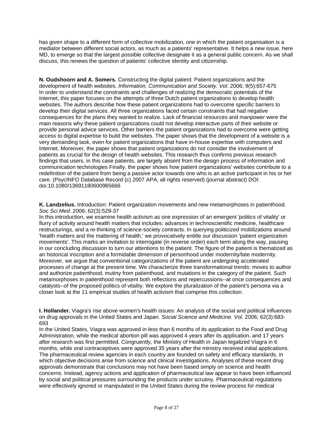has given shape to a different form of collective mobilization, one in which the patient organisation is a mediator between different social actors, as much as a patients' representative. It helps a new issue, here MD, to emerge so that the largest possible collective designate it as a general public concern. As we shall discuss, this renews the question of patients' collective identity and citizenship.

**N. Oudshoorn and A. Somers.** Constructing the digital patient: Patient organizations and the development of health websites. *Information, Communication and Society. Vol*. 2006; 9(5):657-675 In order to understand the constraints and challenges of realizing the democratic potentials of the Internet, this paper focuses on the attempts of three Dutch patient organizations to develop health websites. The authors describe how these patient organizations had to overcome specific barriers to develop their digital services. All three organizations faced certain constraints that had negative consequences for the plans they wanted to realize. Lack of financial resources and manpower were the main reasons why these patient organizations could not develop interactive parts of their website or provide personal advice services. Other barriers the patient organizations had to overcome were getting access to digital expertise to build the websites. The paper shows that the development of a website is a very demanding task, even for patient organizations that have in-house expertise with computers and Internet. Moreover, the paper shows that patient organizations do not consider the involvement of patients as crucial for the design of health websites. This research thus confirms previous research findings that users, in this case patients, are largely absent from the design process of information and communication technologies Finally, the paper shows how patient organizations' websites contribute to a redefinition of the patient from being a passive actor towards one who is an active participant in his or her care. (PsycINFO Database Record (c) 2007 APA, all rights reserved) (journal abstract) DOI: doi:10.1080/13691180600965666

**K. Landzelius.** Introduction: Patient organization movements and new metamorphoses in patienthood. *Soc Sci Med*. 2006; 62(3):529-37

In this introduction, we examine health activism as one expression of an emergent 'politics of vitality' or flurry of activity around health matters that includes: advances in technoscientific medicine, healthcare restructurings, and a re-thinking of science-society contracts. In querying politicized mobilizations around 'health matters and the mattering of health,' we provocatively entitle our discussion 'patient organization movements'. This marks an invitation to interrogate (in reverse order) each term along the way, pausing in our concluding discussion to turn our attentions to the patient. The figure of the patient is thematized as an historical inscription and a formidable dimension of personhood under modernity/late modernity. Moreover, we argue that conventional categorizations of the patient are undergoing accelerated processes of change at the present time. We characterize three transformational trends: moves to author and authorize patienthood, mutiny from patienthood, and mutations in the category of the patient. Such metamorphoses in patienthood represent both reflections and repercussions--at once consequences and catalysts--of the proposed politics of vitality. We explore the pluralization of the patient's persona via a closer look at the 11 empirical studies of health activism that comprise this collection.

**I. Hollander.** Viagra's rise above women's health issues: An analysis of the social and political influences on drug approvals in the United States and Japan. *Social Science and Medicine. Vol*. 2006; 62(3):683- 693

In the United States, Viagra was approved in less than 6 months of its application to the Food and Drug Administration, while the medical abortion pill was approved 4 years after its application, and 17 years after research was first permitted. Congruently, the Ministry of Health in Japan legalized Viagra in 6 months, while oral contraceptives were approved 35 years after the ministry received initial applications. The pharmaceutical review agencies in each country are founded on safety and efficacy standards, in which objective decisions arise from science and clinical investigations. Analyses of these recent drug approvals demonstrate that conclusions may not have been based simply on science and health concerns. Instead, agency actions and application of pharmaceutical law appear to have been influenced by social and political pressures surrounding the products under scrutiny. Pharmaceutical regulations were effectively ignored or manipulated in the United States during the review process for medical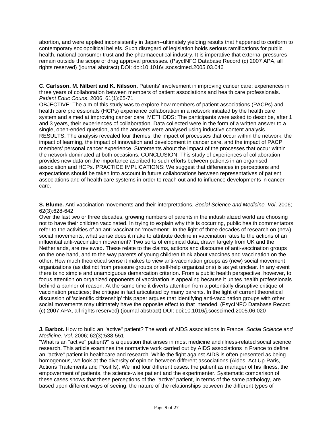abortion, and were applied inconsistently in Japan--ultimately yielding results that happened to conform to contemporary sociopolitical beliefs. Such disregard of legislation holds serious ramifications for public health, national consumer trust and the pharmaceutical industry. It is imperative that external pressures remain outside the scope of drug approval processes. (PsycINFO Database Record (c) 2007 APA, all rights reserved) (journal abstract) DOI: doi:10.1016/j.socscimed.2005.03.046

**C. Carlsson, M. Nilbert and K. Nilsson.** Patients' involvement in improving cancer care: experiences in three years of collaboration between members of patient associations and health care professionals. *Patient Educ Couns*. 2006; 61(1):65-71

OBJECTIVE: The aim of this study was to explore how members of patient associations (PACPs) and health care professionals (HCPs) experience collaboration in a network initiated by the health care system and aimed at improving cancer care. METHODS: The participants were asked to describe, after 1 and 3 years, their experiences of collaboration. Data collected were in the form of a written answer to a single, open-ended question, and the answers were analysed using inductive content analysis. RESULTS: The analysis revealed four themes: the impact of processes that occur within the network, the impact of learning, the impact of innovation and development in cancer care, and the impact of PACP members' personal cancer experience. Statements about the impact of the processes that occur within the network dominated at both occasions. CONCLUSION: This study of experiences of collaboration provides new data on the importance ascribed to such efforts between patients in an organised association and HCPs. PRACTICE IMPLICATIONS: We suggest that differences in perceptions and expectations should be taken into account in future collaborations between representatives of patient associations and of health care systems in order to reach out and to influence developments in cancer care.

**S. Blume.** Anti-vaccination movements and their interpretations. *Social Science and Medicine. Vol*. 2006; 62(3):628-642

Over the last two or three decades, growing numbers of parents in the industrialized world are choosing not to have their children vaccinated. In trying to explain why this is occurring, public health commentators refer to the activities of an anti-vaccination 'movement'. In the light of three decades of research on (new) social movements, what sense does it make to attribute decline in vaccination rates to the actions of an influential anti-vaccination movement? Two sorts of empirical data, drawn largely from UK and the Netherlands, are reviewed. These relate to the claims, actions and discourse of anti-vaccination groups on the one hand, and to the way parents of young children think about vaccines and vaccination on the other. How much theoretical sense it makes to view anti-vaccination groups as (new) social movement organizations (as distinct from pressure groups or self-help organizations) is as yet unclear. In any event there is no simple and unambiguous demarcation criterion. From a public health perspective, however, to focus attention on organized opponents of vaccination is appealing because it unites health professionals behind a banner of reason. At the same time it diverts attention from a potentially disruptive critique of vaccination practices; the critique in fact articulated by many parents. In the light of current theoretical discussion of 'scientific citizenship' this paper argues that identifying anti-vaccination groups with other social movements may ultimately have the opposite effect to that intended. (PsycINFO Database Record (c) 2007 APA, all rights reserved) (journal abstract) DOI: doi:10.1016/j.socscimed.2005.06.020

**J. Barbot.** How to build an "active" patient? The work of AIDS associations in France. *Social Science and Medicine. Vol*. 2006; 62(3):538-551

"What is an "active" patient?" is a question that arises in most medicine and illness-related social science research. This article examines the normative work carried out by AIDS associations in France to define an "active" patient in healthcare and research. While the fight against AIDS is often presented as being homogenous, we look at the diversity of opinion between different associations (Aides, Act Up-Paris, Actions Traitements and Positifs). We find four different cases: the patient as manager of his illness, the empowerment of patients, the science-wise patient and the experimenter. Systematic comparison of these cases shows that these perceptions of the "active" patient, in terms of the same pathology, are based upon different ways of seeing: the nature of the relationships between the different types of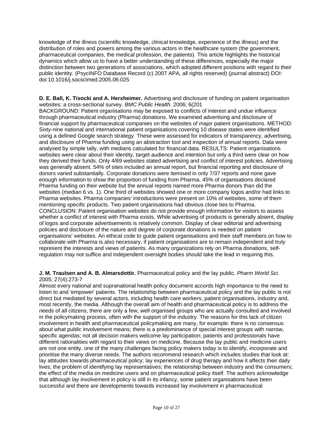knowledge of the illness (scientific knowledge, clinical knowledge, experience of the illness) and the distribution of roles and powers among the various actors in the healthcare system (the government, pharmaceutical companies, the medical profession, the patients). This article highlights the historical dynamics which allow us to have a better understanding of these differences, especially the major distinction between two generations of associations, which adopted different positions with regard to their public identity. (PsycINFO Database Record (c) 2007 APA, all rights reserved) (journal abstract) DOI: doi:10.1016/j.socscimed.2005.06.025

**D. E. Ball, K. Tisocki and A. Herxheimer.** Advertising and disclosure of funding on patient organisation websites: a cross-sectional survey. *BMC Public Health*. 2006; 6(201

BACKGROUND: Patient organisations may be exposed to conflicts of interest and undue influence through pharmaceutical industry (Pharma) donations. We examined advertising and disclosure of financial support by pharmaceutical companies on the websites of major patient organisations. METHOD: Sixty-nine national and international patient organisations covering 10 disease states were identified using a defined Google search strategy. These were assessed for indicators of transparency, advertising, and disclosure of Pharma funding using an abstraction tool and inspection of annual reports. Data were analysed by simple tally, with medians calculated for financial data. RESULTS: Patient organisations websites were clear about their identity, target audience and intention but only a third were clear on how they derived their funds. Only 4/69 websites stated advertising and conflict of interest policies. Advertising was generally absent. 54% of sites included an annual report, but financial reporting and disclosure of donors varied substantially. Corporate donations were itemised in only 7/37 reports and none gave enough information to show the proportion of funding from Pharma. 45% of organisations declared Pharma funding on their website but the annual reports named more Pharma donors than did the websites (median 6 vs. 1). One third of websites showed one or more company logos and/or had links to Pharma websites. Pharma companies' introductions were present on 10% of websites, some of them mentioning specific products. Two patient organisations had obvious close ties to Pharma. CONCLUSION: Patient organisation websites do not provide enough information for visitors to assess whether a conflict of interest with Pharma exists. While advertising of products is generally absent, display of logos and corporate advertisements is relatively common. Display of clear editorial and advertising policies and disclosure of the nature and degree of corporate donations is needed on patient organisations' websites. An ethical code to guide patient organisations and their staff members on how to collaborate with Pharma is also necessary, if patient organisations are to remain independent and truly represent the interests and views of patients. As many organizations rely on Pharma donations, selfregulation may not suffice and independent oversight bodies should take the lead in requiring this.

#### **J. M. Traulsen and A. B. Almarsdottir.** Pharmaceutical policy and the lay public. *Pharm World Sci*. 2005; 27(4):273-7

Almost every national and supranational health policy document accords high importance to the need to listen to and 'empower' patients. The relationship between pharmaceutical policy and the lay public is not direct but mediated by several actors, including health care workers, patient organisations, industry and, most recently, the media. Although the overall aim of health and pharmaceutical policy is to address the needs of all citizens, there are only a few, well organised groups who are actually consulted and involved in the policymaking process, often with the support of the industry. The reasons for this lack of citizen involvement in health and pharmaceutical policymaking are many, for example: there is no consensus about what public involvement means; there is a predominance of special interest groups with narrow, specific agendas; not all decision makers welcome lay participation; patients and professionals have different rationalities with regard to their views on medicine. Because the lay public and medicine users are not one entity, one of the many challenges facing policy makers today is to identify, incorporate and prioritise the many diverse needs. The authors recommend research which includes studies that look at: lay attitudes towards pharmaceutical policy; lay experiences of drug therapy and how it affects their daily lives; the problem of identifying lay representatives; the relationship between industry and the consumers; the effect of the media on medicine users and on pharmaceutical policy itself. The authors acknowledge that although lay involvement in policy is still in its infancy, some patient organisations have been successful and there are developments towards increased lay involvement in pharmaceutical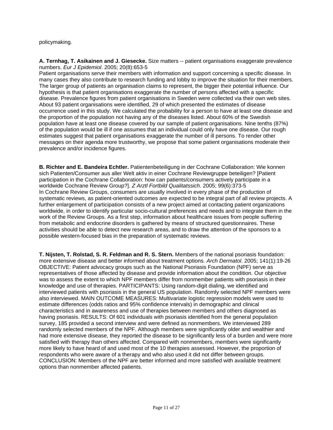#### policymaking.

**A. Ternhag, T. Asikainen and J. Giesecke.** Size matters -- patient organisations exaggerate prevalence numbers. *Eur J Epidemiol*. 2005; 20(8):653-5

Patient organisations serve their members with information and support concerning a specific disease. In many cases they also contribute to research funding and lobby to improve the situation for their members. The larger group of patients an organisation claims to represent, the bigger their potential influence. Our hypothesis is that patient organisations exaggerate the number of persons affected with a specific disease. Prevalence figures from patient organisations in Sweden were collected via their own web sites. About 93 patient organisations were identified, 29 of which presented the estimates of disease occurrence used in this study. We calculated the probability for a person to have at least one disease and the proportion of the population not having any of the diseases listed. About 60% of the Swedish population have at least one disease covered by our sample of patient organisations. Nine tenths (87%) of the population would be ill if one assumes that an individual could only have one disease. Our rough estimates suggest that patient organisations exaggerate the number of ill persons. To render other messages on their agenda more trustworthy, we propose that some patient organisations moderate their prevalence and/or incidence figures.

**B. Richter and E. Bandeira Echtler.** Patientenbeteiligung in der Cochrane Collaboration: Wie konnen sich Patienten/Consumer aus aller Welt aktiv in einer Cochrane Reviewgruppe beteiligen? [Patient participation in the Cochrane Collaboration: how can patients/consumers actively participate in a worldwide Cochrane Review Group?]. *Z Arztl Fortbild Qualitatssich*. 2005; 99(6):373-5 In Cochrane Review Groups, consumers are usually involved in every phase of the production of systematic reviews, as patient-oriented outcomes are expected to be integral part of all review projects. A further enlargement of participation consists of a new project aimed at contacting patient organizations worldwide, in order to identify particular socio-cultural preferences and needs and to integrate them in the work of the Review Groups. As a first step, information about healthcare issues from people suffering from metabolic and endocrine disorders is gathered by means of structured questionnaires. These activities should be able to detect new research areas, and to draw the attention of the sponsors to a possible western-focused bias in the preparation of systematic reviews.

**T. Nijsten, T. Rolstad, S. R. Feldman and R. S. Stern.** Members of the national psoriasis foundation: more extensive disease and better informed about treatment options. *Arch Dermatol*. 2005; 141(1):19-26 OBJECTIVE: Patient advocacy groups such as the National Psoriasis Foundation (NPF) serve as representatives of those affected by disease and provide information about the condition. Our objective was to assess the extent to which NPF members differ from nonmember patients with psoriasis in their knowledge and use of therapies. PARTICIPANTS: Using random-digit dialing, we identified and interviewed patients with psoriasis in the general US population. Randomly selected NPF members were also interviewed. MAIN OUTCOME MEASURES: Multivariate logistic regression models were used to estimate differences (odds ratios and 95% confidence intervals) in demographic and clinical characteristics and in awareness and use of therapies between members and others diagnosed as having psoriasis. RESULTS: Of 601 individuals with psoriasis identified from the general population survey, 185 provided a second interview and were defined as nonmembers. We interviewed 289 randomly selected members of the NPF. Although members were significantly older and wealthier and had more extensive disease, they reported the disease to be significantly less of a burden and were more satisfied with therapy than others affected. Compared with nonmembers, members were significantly more likely to have heard of and used most of the 10 therapies assessed. However, the proportion of respondents who were aware of a therapy and who also used it did not differ between groups. CONCLUSION: Members of the NPF are better informed and more satisfied with available treatment options than nonmember affected patients.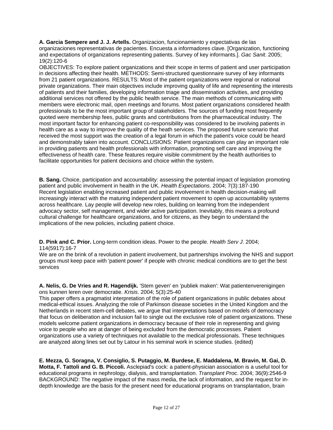**A. Garcia Sempere and J. J. Artells.** Organizacion, funcionamiento y expectativas de las organizaciones representativas de pacientes. Encuesta a informadores clave. [Organization, functioning and expectations of organizations representing patients. Survey of key informants.]. *Gac Sanit*. 2005; 19(2):120-6

OBJECTIVES: To explore patient organizations and their scope in terms of patient and user participation in decisions affecting their health. METHODS: Semi-structured questionnaire survey of key informants from 21 patient organizations. RESULTS: Most of the patient organizations were regional or national private organizations. Their main objectives include improving quality of life and representing the interests of patients and their families, developing information triage and dissemination activities, and providing additional services not offered by the public health service. The main methods of communicating with members were electronic mail, open meetings and forums. Most patient organizations considered health professionals to be the most important group of stakeholders. The sources of funding most frequently quoted were membership fees, public grants and contributions from the pharmaceutical industry. The most important factor for enhancing patient co-responsibility was considered to be involving patients in health care as a way to improve the quality of the heath services. The proposed future scenario that received the most support was the creation of a legal forum in which the patient's voice could be heard and demonstrably taken into account. CONCLUSIONS: Patient organizations can play an important role in providing patients and health professionals with information, promoting self care and improving the effectiveness of health care. These features require visible commitment by the health authorities to facilitate opportunities for patient decisions and choice within the system.

**B. Sang.** Choice, participation and accountability: assessing the potential impact of legislation promoting patient and public involvement in health in the UK. *Health Expectations*. 2004; 7(3):187-190 Recent legislation enabling increased patient and public involvement in health decision-making will increasingly interact with the maturing independent patient movement to open up accountability systems across healthcare. Lay people will develop new roles, building on learning from the independent advocacy sector, self management, and wider active participation. Inevitably, this means a profound cultural challenge for healthcare organizations, and for citizens, as they begin to understand the implications of the new policies, including patient choice.

**D. Pink and C. Prior.** Long-term condition ideas. Power to the people. *Health Serv J*. 2004; 114(5917):16-7

We are on the brink of a revolution in patient involvement, but partnerships involving the NHS and support groups must keep pace with 'patient power' if people with chronic medical conditions are to get the best services

**A. Nelis, G. De Vries and R. Hagendijk.** 'Stem geven' en 'publiek maken': Wat patientenverenigingen ons kunnen leren over democratie. *Krisis*. 2004; 5(3):25-40

This paper offers a pragmatist interpretation of the role of patient organizations in public debates about medical-ethical issues. Analyzing the role of Parkinson disease societies in the United Kingdom and the Netherlands in recent stem-cell debates, we argue that interpretations based on models of democracy that focus on deliberation and inclusion fail to single out the exclusive role of patient organizations. These models welcome patient organizations in democracy because of their role in representing and giving voice to people who are at danger of being excluded from the democratic processes. Patient organizations use a variety of techniques not available to the medical professionals. These techniques are analyzed along lines set out by Latour in his seminal work in science studies. (edited)

**E. Mezza, G. Soragna, V. Consiglio, S. Putaggio, M. Burdese, E. Maddalena, M. Bravin, M. Gai, D. Motta, F. Tattoli and G. B. Piccoli.** Asclepiad's cock: a patient-physician association is a useful tool for educational programs in nephrology, dialysis, and transplantation. *Transplant Proc*. 2004; 36(9):2546-9 BACKGROUND: The negative impact of the mass media, the lack of information, and the request for indepth knowledge are the basis for the present need for educational programs on transplantation, brain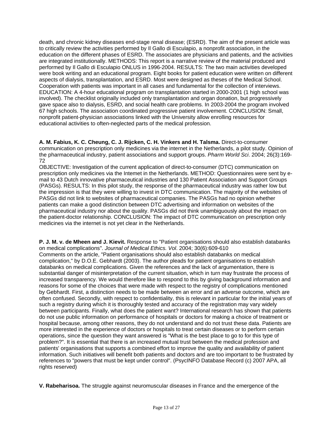death, and chronic kidney diseases end-stage renal disease; (ESRD). The aim of the present article was to critically review the activities performed by Il Gallo di Esculapio, a nonprofit association, in the education on the different phases of ESRD. The associates are physicians and patients, and the activities are integrated institutionally. METHODS: This report is a narrative review of the material produced and performed by Il Gallo di Esculapio ONLUS in 1996-2004. RESULTS: The two main activities developed were book writing and an educational program. Eight books for patient education were written on different aspects of dialysis, transplantation, and ESRD. Most were designed as theses of the Medical School. Cooperation with patients was important in all cases and fundamental for the collection of interviews. EDUCATION: A 4-hour educational program on transplantation started in 2000-2001 (1 high school was involved). The checklist originally included only transplantation and organ donation, but progressively gave space also to dialysis, ESRD, and social health care problems. In 2003-2004 the program involved 67 high schools. The association coordinated progressive patient involvement. CONCLUSION: Small, nonprofit patient-physician associations linked with the University allow enrolling resources for educational activities to often-neglected parts of the medical profession.

**A. M. Fabius, K. C. Cheung, C. J. Rijcken, C. H. Vinkers and H. Talsma.** Direct-to-consumer communication on prescription only medicines via the internet in the Netherlands, a pilot study. Opinion of the pharmaceutical industry, patient associations and support groups. *Pharm World Sci*. 2004; 26(3):169- 72

OBJECTIVE: Investigation of the current application of direct-to-consumer (DTC) communication on prescription only medicines via the Intemet in the Netherlands. METHOD: Questionnaires were sent by email to 43 Dutch innovative pharmaceutical industries and 130 Patient Association and Support Groups (PASGs). RESULTS: In this pilot study, the response of the pharmaceutical industry was rather low but the impression is that they were willing to invest in DTC communication. The majority of the websites of PASGs did not link to websites of pharmaceutical companies. The PASGs had no opinion whether patients can make a good distinction between DTC advertising and information on websites of the pharmaceutical industry nor about the quality. PASGs did not think unambiguously about the impact on the patient-doctor relationship. CONCLUSION: The impact of DTC communication on prescription only medicines via the internet is not yet clear in the Netherlands.

**P. J. M. v. de Mheen and J. Kievit.** Response to "Patient organisations should also establish databanks on medical complications". *Journal of Medical Ethics. Vol*. 2004; 30(6):609-610

Comments on the article, "Patient organisations should also establish databanks on medical complication," by D.O.E. Gebhardt (2003). The author pleads for patient organisations to establish databanks on medical complications. Given the references and the lack of argumentation, there is substantial danger of misinterpretation of the current situation, which in turn may frustrate the process of increased transparency. We would therefore like to respond to this by giving background information and reasons for some of the choices that were made with respect to the registry of complications mentioned by Gebhardt. First, a distinction needs to be made between an error and an adverse outcome, which are often confused. Secondly, with respect to confidentiality, this is relevant in particular for the initial years of such a registry during which it is thoroughly tested and accuracy of the registration may vary widely between participants. Finally, what does the patient want? International research has shown that patients do not use public information on performance of hospitals or doctors for making a choice of treatment or hospital because, among other reasons, they do not understand and do not trust these data. Patients are more interested in the experience of doctors or hospitals to treat certain diseases or to perform certain operations, since the question they want answered is "What is the best place to go to for this type of problem?". It is essential that there is an increased mutual trust between the medical profession and patients' organisations that supports a combined effort to improve the quality and availability of patient information. Such initiatives will benefit both patients and doctors and are too important to be frustrated by references to "powers that must be kept under control". (PsycINFO Database Record (c) 2007 APA, all rights reserved)

**V. Rabeharisoa.** The struggle against neuromuscular diseases in France and the emergence of the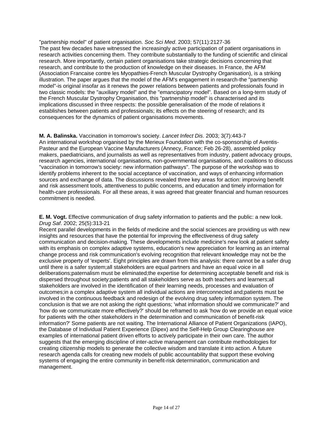"partnership model" of patient organisation. *Soc Sci Med*. 2003; 57(11):2127-36 The past few decades have witnessed the increasingly active participation of patient organisations in research activities concerning them. They contribute substantially to the funding of scientific and clinical research. More importantly, certain patient organisations take strategic decisions concerning that research, and contribute to the production of knowledge on their diseases. In France, the AFM (Association Francaise contre les Myopathies-French Muscular Dystrophy Organisation), is a striking illustration. The paper argues that the model of the AFM's engagement in research-the "partnership model"-is original insofar as it renews the power relations between patients and professionals found in two classic models: the "auxiliary model" and the "emancipatory model". Based on a long-term study of the French Muscular Dystrophy Organisation, this "partnership model" is characterised and its implications discussed in three respects: the possible generalisation of the mode of relations it establishes between patients and professionals; its effects on the steering of research; and its consequences for the dynamics of patient organisations movements.

**M. A. Balinska.** Vaccination in tomorrow's society. *Lancet Infect Dis*. 2003; 3(7):443-7 An international workshop organised by the Merieux Foundation with the co-sponsorship of Aventis-Pasteur and the European Vaccine Manufacturers (Annecy, France; Feb 26-28), assembled policy makers, paediatricians, and journalists as well as representatives from industry, patient advocacy groups, research agencies, international organisations, non-governmental organisations, and coalitions to discuss "vaccination in tomorrow's society: new information pathways". The purpose of the workshop was to identify problems inherent to the social acceptance of vaccination, and ways of enhancing information sources and exchange of data. The discussions revealed three key areas for action: improving benefit and risk assessment tools, attentiveness to public concerns, and education and timely information for health-care professionals. For all these areas, it was agreed that greater financial and human resources commitment is needed.

**E. M. Vogt.** Effective communication of drug safety information to patients and the public: a new look. *Drug Saf*. 2002; 25(5):313-21

Recent parallel developments in the fields of medicine and the social sciences are providing us with new insights and resources that have the potential for improving the effectiveness of drug safety communication and decision-making. These developments include medicine's new look at patient safety with its emphasis on complex adaptive systems, education's new appreciation for learning as an internal change process and risk communication's evolving recognition that relevant knowledge may not be the exclusive property of 'experts'. Eight principles are drawn from this analysis: there cannot be a safer drug until there is a safer system;all stakeholders are equal partners and have an equal voice in all deliberations;paternalism must be eliminated;the expertise for determining acceptable benefit and risk is dispersed throughout society;patients and all stakeholders serve as both teachers and learners;all stakeholders are involved in the identification of their learning needs, processes and evaluation of outcomes;in a complex adaptive system all individual actions are interconnected and;patients must be involved in the continuous feedback and redesign of the evolving drug safety information system. The conclusion is that we are not asking the right questions; 'what information should we communicate?' and 'how do we communicate more effectively?' should be reframed to ask 'how do we provide an equal voice for patients with the other stakeholders in the determination and communication of benefit-risk information?' Some patients are not waiting. The International Alliance of Patient Organizations (IAPO), the Database of Individual Patient Experience (Dipex) and the Self-Help Group Clearinghouse are examples of international patient driven efforts to actively participate in their own care. The author suggests that the emerging discipline of inter-active management can contribute methodologies for creating citizenship models to generate the collective wisdom and translate it into action. A future research agenda calls for creating new models of public accountability that support these evolving systems of engaging the entire community in benefit-risk determination, communication and management.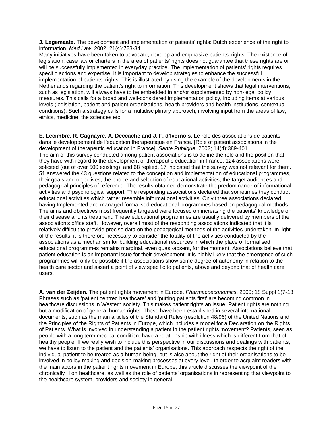**J. Legemaate.** The development and implementation of patients' rights: Dutch experience of the right to information. *Med Law*. 2002; 21(4):723-34

Many initiatives have been taken to advocate, develop and emphasize patients' rights. The existence of legislation, case law or charters in the area of patients' rights does not guarantee that these rights are or will be successfully implemented in everyday practice. The implementation of patients' rights requires specific actions and expertise. It is important to develop strategies to enhance the successful implementation of patients' rights. This is illustrated by using the example of the developments in the Netherlands regarding the patient's right to information. This development shows that legal interventions, such as legislation, will always have to be embedded in and/or supplemented by non-legal policy measures. This calls for a broad and well-considered implementation policy, including items at various levels (legislation, patient and patient organizations, health providers and health institutions, contextual conditions). Such a strategy calls for a multidisciplinary approach, involving input from the areas of law, ethics, medicine, the sciences etc.

**E. Lecimbre, R. Gagnayre, A. Deccache and J. F. d'Ivernois.** Le role des associations de patients dans le developpement de l'education therapeutique en France. [Role of patient associations in the development of therapeutic education in France]. *Sante Publique*. 2002; 14(4):389-401 The aim of this survey conducted among patient associations is to define the role and the position that they have with regard to the development of therapeutic education in France. 124 associations were solicited (out of over 500 existing), and 68 replied. 17 indicated that the survey was not relevant for them. 51 answered the 43 questions related to the conception and implementation of educational programmes, their goals and objectives, the choice and selection of educational activities, the target audiences and pedagogical principles of reference. The results obtained demonstrate the predominance of informational activities and psychological support. The responding associations declared that sometimes they conduct educational activities which rather resemble informational activities. Only three associations declared having Implemented and managed formalised educational programmes based on pedagogical methods. The aims and objectives most frequently targeted were focused on increasing the patients' knowledge on their disease and its treatment. These educational programmes are usually delivered by members of the association's office staff. However, overall most of the responding associations indicated that it is relatively difficult to provide precise data on the pedagogical methods of the activities undertaken. In light of the results, it is therefore necessary to consider the totality of the activities conducted by the associations as a mechanism for building educational resources in which the place of formalised educational programmes remains marginal, even quasi-absent, for the moment. Associations believe that patient education is an important issue for their development. It is highly likely that the emergence of such programmes will only be possible if the associations show some degree of autonomy in relation to the health care sector and assert a point of view specific to patients, above and beyond that of health care users.

**A. van der Zeijden.** The patient rights movement in Europe. *Pharmacoeconomics*. 2000; 18 Suppl 1(7-13 Phrases such as 'patient centred healthcare' and 'putting patients first' are becoming common in healthcare discussions in Western society. This makes patient rights an issue. Patient rights are nothing but a modification of general human rights. These have been established in several international documents, such as the main articles of the Standard Rules (resolution 48/96) of the United Nations and the Principles of the Rights of Patients in Europe, which includes a model for a Declaration on the Rights of Patients. What is involved in understanding a patient in the patient rights movement? Patients, seen as people with a long term medical condition, have a relationship with illness which is different from that of healthy people. If we really wish to include this perspective in our discussions and dealings with patients, we have to listen to the patient and the patients' organisations. This approach respects the right of the individual patient to be treated as a human being, but is also about the right of their organisations to be involved in policy-making and decision-making processes at every level. In order to acquaint readers with the main actors in the patient rights movement in Europe, this article discusses the viewpoint of the chronically ill on healthcare, as well as the role of patients' organisations in representing that viewpoint to the healthcare system, providers and society in general.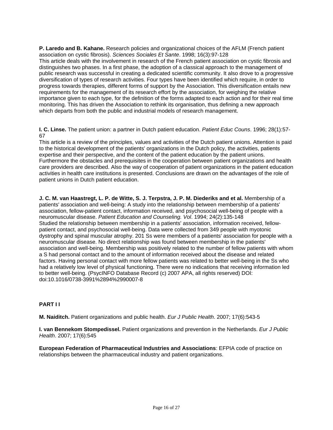**P. Laredo and B. Kahane.** Research policies and organizational choices of the AFLM (French patient association on cystic fibrosis). *Sciences Sociales Et Sante*. 1998; 16(3):97-128

This article deals with the involvement in research of the French patient association on cystic fibrosis and distinguishes two phases. In a first phase, the adoption of a classical approach to the management of public research was successful in creating a dedicated scientific community. It also drove to a progressive diversification of types of research activities. Four types have been identified which require, in order to progress towards therapies, different forms of support by the Association. This diversification entails new requirements for the management of its research effort by the association, for weighing the relative importance given to each type, for the definition of the forms adapted to each action and for their real time monitoring. This has driven the Association to rethink its organisation, thus defining a new approach which departs from both the public and industrial models of research management.

**I. C. Linse.** The patient union: a partner in Dutch patient education. *Patient Educ Couns*. 1996; 28(1):57- 67

This article is a review of the principles, values and activities of the Dutch patient unions. Attention is paid to the historical development of the patients' organizations in the Dutch policy, the activities, patients expertise and their perspective, and the content of the patient education by the patient unions. Furthermore the obstacles and prerequisites in the cooperation between patient organizations and health care providers are described. Also the way of cooperation of patient organizations in the patient education activities in health care institutions is presented. Conclusions are drawn on the advantages of the role of patient unions in Dutch patient education.

**J. C. M. van Haastregt, L. P. de Witte, S. J. Terpstra, J. P. M. Diederiks and et al.** Membership of a patients' association and well-being: A study into the relationship between membership of a patients' association, fellow-patient contact, information received, and psychosocial well-being of people with a neuromuscular disease. *Patient Education and Counseling. Vol*. 1994; 24(2):135-148 Studied the relationship between membership in a patients' association, information received, fellowpatient contact, and psychosocial well-being. Data were collected from 349 people with myotonic dystrophy and spinal muscular atrophy. 201 Ss were members of a patients' association for people with a neuromuscular disease. No direct relationship was found between membership in the patients' association and well-being. Membership was positively related to the number of fellow patients with whom a S had personal contact and to the amount of information received about the disease and related factors. Having personal contact with more fellow patients was related to better well-being in the Ss who had a relatively low level of physical functioning. There were no indications that receiving information led to better well-being. (PsycINFO Database Record (c) 2007 APA, all rights reserved) DOI: doi:10.1016/0738-3991%2894%2990007-8

#### **PART I I**

**M. Naiditch.** Patient organizations and public health. *Eur J Public Health*. 2007; 17(6):543-5

**I. van Bennekom Stompedissel.** Patient organizations and prevention in the Netherlands. *Eur J Public Health*. 2007; 17(6):545

**European Federation of Pharmaceutical Industries and Associations**: EFPIA code of practice on relationships between the pharmaceutical industry and patient organizations.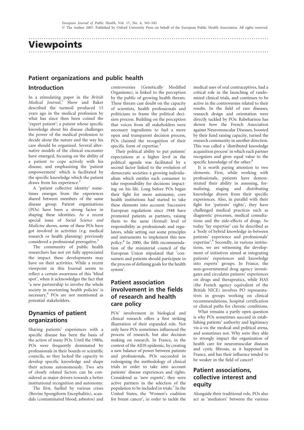...............................................................................................................

# ............................................................................................................... **Viewpoints**

#### Patient organizations and public health

#### Introduction

In a stimulating paper in the British Medical Journal,<sup>1</sup> Show and Baker described the turmoil produced 15 years ago in the medical profession by what has since then been coined the 'expert patient'; a patient whose specific knowledge about his disease challenges the power of the medical profession to decide alone the nature and the way his care should be organized. Several alternative models of the clinical encounter have emerged, focusing on the ability of a patient to cope actively with his disease, and emphasizing the 'patient empowerment' which is facilitated by the specific knowledge which the patient draws from his experience.<sup>2</sup>

A 'patient collective identity' sometimes emerges from the experiences shared between members of the same disease group. Patient organizations (POs) have been a strong factor in shaping these identities. As a recent special issue of Social Science and Medicine shows, some of these POs have got involved in activities (e.g. medical research or health planning) previously considered a professional prerogative.<sup>3</sup>

The community of public health researchers has not yet fully appreciated the impact these developments may have on their activities. While a recent viewpoint in this Journal seems to reflect a certain awareness of this 'blind spot', when it acknowledges the fact that 'a new partnership to involve the whole society in reorienting health policies' is necessary,<sup>4</sup> POs are not mentioned as potential stakeholders.

# Dynamics of patient organizations

Sharing patients' experiences with a specific disease has been the basis of the action of many POs. Until the 1980s, POs were frequently dominated by professionals in their boards or scientific councils, so they lacked the capacity to develop specific knowledge and shape their actions autonomously. Two sets of closely related factors can be considered as major drivers towards a better institutional recognition and autonomy.

The first, fuelled by various crises (Bovine Spongiform Encephalitis), scandals (contaminated blood; asbestos) and controversies (Genetically Modified Organisms), is linked to the perception by the public of growing health threats. These threats cast doubt on the capacity of scientists, health professionals and politicians to frame the political decision process. Building on the perception that voices from all stakeholders were necessary ingredients to fuel a more open and transparent decision process, POs claimed the recognition of their specific form of expertise.<sup>5</sup>

Their political ability to put patients' expectations at a higher level in the political agenda was facilitated by a second factor linked to the evolution of democratic societies: a growing individualism which entitles each consumer to take responsibility for decisions impacting on his life. Long before POs began their fight for more autonomy, core health institutions had started to take these elements into account: Successive European regulations since 1948 have promoted patients as partners, raising them to the same (formal) level of responsibility as professionals and regulators, while setting out some principles and instruments to implement this new policy.6 In 2000, the fifth recommendation of the ministerial council of the European Union stipulated that 'consumers and patients should participate in the process of defining goals for the health system'.

## Patient association involvement in the fields of research and health care policy

POs' involvement in biological and clinical research offers a first striking illustration of their expanded role. Not only have POs sometimes influenced the process of research, but also decision making on research. In France, in the context of the AIDS epidemic, by creating a new balance of power between patients and professionals, POs succeeded in redesigning the methodology of clinical trials in order to take into account patients' disease experiences and rights. Considered as 'new experts', they were active partners in the selection of the population to be included in trials.7 In the United States, the 'Women's coalition for breast cancer', in order to tackle the

medical uses of oral contraceptives, had a critical role in the launching of randomized clinical trials, and continues to be active in the controversies related to their results. In the field of rare diseases, research design and orientation were directly tackled by POs: Rabeharisoa has shown how the French Association against Neuromuscular Diseases, boosted by their fund raising capacity, turned the research community in another direction. This was called a 'distributed knowledge acquisition process' in which each partner recognizes and gives equal value to the specific knowledge of the other.<sup>8</sup>

It is worth paying attention to two elements. First, while working with professionals, patients have demonstrated their ability in assessing, formalizing, staging and distributing knowledge drawn from their specific experiences. Also, in parallel with their fight for 'patients' rights', they have challenged medical practices such as diagnostic processes, medical consultations and the side-effects of drugs. So today 'lay expertise' can be described as a 'body of hybrid knowledge in-between patients' experience and professionals' expertise'.<sup>8</sup> Secondly, in various institutions, we are witnessing the development of initiatives aimed at integrating patients' experiences and knowledge into experts' groups. In France, the non-governmental drug agency investigates and circulates patients' experiences on drugs and therapeutics, while HAS (the French agency equivalent of the British NICE) involves PO representatives in groups working on clinical recommendations, hospital certification or clinical paths for chronic conditions.

What remains a partly open question is why POs sometimes succeed in establishing patients' authority and legitimacy vis-a`-vis the medical and political arena, and sometimes not. Why were they able to strongly impact the organization of health care for neuromuscular diseases and cystic fibrosis, as it happened in France, and has their influence tended to be weaker in the field of cancer?

## Patient associations, collective interest and equity

Alongside their traditional role, POs also act as 'mediators' between the various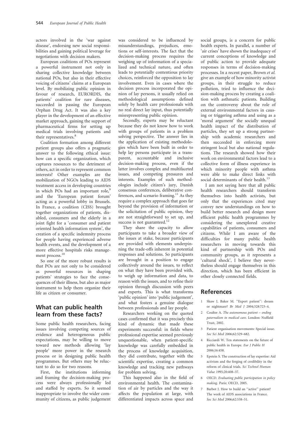actors involved in the 'war against disease', endorsing new social responsibilities and gaining political leverage for negotiations with decision makers.

European coalitions of POs represent a powerful instrument not only in sharing collective knowledge between national POs, but also in their effective voicing of citizens' claims at a European level. By mobilizing public opinion in favour of research, EURORDIS, the patients' coalition for rare diseases, succeeded in passing the European Orphan Drug Act. It was also a key player in the development of an effective market approach, gaining the support of pharmaceutical firms for setting up medical trials involving patients and their representatives.<sup>8</sup>

Coalition formation among different patient groups also offers a pragmatic answer to the following ethical issue: how can a specific organization, which captures resources to the detriment of others, act in order to represent common interests? Other examples are the mobilization of NGOs leading to AIDS treatment access in developing countries in which POs had an important role,<sup>5</sup> and the 'European patient forum' acting as a powerful lobby in Brussels. In France, a coalition (CISS) brought together organizations of patients, disabled, consumers and the elderly in a joint fight for a 'consumer and patient oriented health information system', the creation of a specific indemnity process for people having experienced adverse health events, and the development of a more effective hospitals risks management process.<sup>10</sup>

So one of the more robust results is that POs are not only to be considered as powerful resources in shaping patients' strategies to face the consequences of their illness, but also as major instrument to help them organize their life as citizen or consumer.

## What can public health learn from these facts?

Some public health researchers, facing issues involving competing sources of evidence and heterogeneous public expectations, may be willing to move toward new methods allowing 'lay people' more power in the research process or in designing public health programmes. But others may be reluctant to do so for two reasons.

First, the institutions informing and framing the decision-making process were always professionally led and staffed by experts. So it seemed inappropriate to involve the wider community of citizens, as public judgement was considered to be influenced by misunderstandings, prejudices, emotions or self-interests. The fact that the decision-making process requires the weighing up of information of a specialized and technical nature, and often leads to potentially contentious priority choices, reinforced the opposition to lay involvement. Even in cases where the decision process incorporated the opinion of lay persons, it usually relied on methodological assumptions defined solely by health care professionals with no real direct lay input, thus potentially misrepresenting public opinion.

Secondly, experts may be reluctant because they do not know how to work with groups of patients in a problem solving perspective. The answer lies in the application of existing methodologies which have been built in order to help lay persons participate in a transparent, accountable and inclusive decision-making process, even if the latter involves complex and multifaceted issues, and competing pressures and interests. Examples of such methodologies include citizen's jury, Danish consensus conferences, deliberative conferences, and scenario framing. $^{11}$  As they require a complex approach that goes far beyond the provision of information or the solicitation of public opinion, they are not straightforward to set up, and success is not guaranteed.<sup>12</sup>

They share the capacity to allow participants to take a broader view of the issues at stake, because participants are provided with elements underpinning the trade-offs inherent in potential responses and solutions. So participants are brought in a position to engage collectively around the issues, to reflect on what they have been provided with, to weigh up information and data, to reason with the issues, and to refine their opinion through discussion with peers and experts. This is what transforms 'public opinion' into 'public judgement', and what fosters a genuine dialogue between professionals and lay people.

Researchers working on the quoted cases confirmed that it was precisely this kind of dynamic that made these experiments successful: in fields where professional expertise seemed previously unquestionable, when patient-specific knowledge was carefully embedded in the process of knowledge acquisition, they did contribute, together with the scientific expertise, creating a common knowledge and tracking new pathways for problem solving.

This happened also in the field of environmental health. The contamination of air by particles and the way it affects the population at large, with differentiated impacts across space and social groups, is a concern for public health experts. In parallel, a number of 'air crises' have shown the inadequacy of current conceptions of knowledge and of public action to provide adequate responses in terms of decision-making processes. In a recent paper, Brown et al. give an example of how minority activist groups, in their struggle to reduce pollution, tried to influence the decision-making process by creating a coalition with asthmatic patients. Building on the controversy about the role of external environmental factors in causing or triggering asthma and using as a 'moral argument' the socially unequal health impact of the distribution of particles, they set up a strong partnership with academic researchers and then succeeded in enforcing more stringent local but also national regulations. The research showed how their work on environmental factors lead to a collective form of illness experience in which minority people with asthma were able to make direct links with social determinants of their health.<sup>13</sup>

I am not saying here that all public health researchers should transform themselves into health activists, but only that the experiences cited may convey new understandings on how to build better research and design more efficient public health programmes by considering the unexplored creative capabilities of patients, consumers and citizens. While I am aware of the difficulties for many public health researchers in moving towards this kind of partnership with POs and community groups, as it represents a 'cultural shock', I believe they nevertheless should engage themselves in this direction, which has been efficient in other closely connected fields.

#### References

- Shaw J, Baker M. "Expert patient": dream or nightmare? Br Med J 2004;328:723–4.
- Coulter A. The autonomous patient ending paternalism in medical care. London: Nuffield Trust, 2002.
- 3 Patient organisation movements: Special issue. Soc Sci Med 2006;62:529–682.
- 4 Ricciardi W. Ten statements on the future of public health in Europe. Eur J Public H 2006;16:458.
- 5 Epstein S. The construction of lay expertise: Aid activism and the forging of credibility in the reform of clinical trials. Sci Technol Human Value 1995;20:408–37.
- 6 OECD. Evaluating public participation in policy making. Paris: OECD, 2005.
- 7 Barbot J. How to build an ''active'' patient? The work of AIDS associations in France. Soc Sci Med 2006;62:538–51.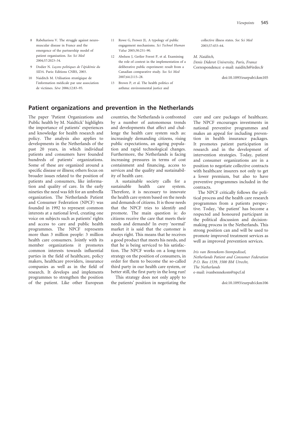- 8 Rabeharisoa V. The struggle against neuromuscular disease in France and the emergence of the partnership model of patient organisation. Soc Sci Med 2004;57:2023–34.
- 9 Dodier N. Leçons politiques de l'épidémie du SIDA. Paris: Editions CNRS, 2003.
- 10 Naiditch M. Utilisation stratégique de l'information médicale par une association de victimes. Se`ve 2006;12:83–95.
- 11 Rowe G, Frewer JL. A typology of public engagement mechanisms. Sci Technol Human Value 2005;30:251–90.
- 12 Abelson J, Gerlier Forest P, et al. Examining the role of context in the implementation of a deliberative public experiment: result from a Canadian comparative study. Soc Sci Med 2007;64:2115–28.
- 13 Brown P, et al. The health politics of asthma: environmental justice and

collective illness states. Soc Sci Med 2003;57:453–64.

M. Naiditch,

Denis Diderot University, Paris, France Correspondence: e-mail: naiditch@irdes.fr

doi:10.1093/eurpub/ckm105

#### Patient organizations and prevention in the Netherlands

The paper 'Patient Organizations and Public health by M. Naidtick' highlights the importance of patients' experiences and knowledge for health research and policy. The analysis also applies to developments in the Netherlands of the past 20 years, in which individual patients and consumers have founded hundreds of patients' organizations. Some of these are organized around a specific disease or illness; others focus on broader issues related to the position of patients and consumers, like information and quality of care. In the early nineties the need was felt for an umbrella organization. The Netherlands Patient and Consumer Federation (NPCF) was founded in 1992 to represent common interests at a national level, creating one voice on subjects such as patients' rights and access to care and public health programmes. The NPCF represents more than 3 million people: 3 million health care consumers. Jointly with its member organizations it promotes common interests towards influential parties in the field of healthcare, policy makers, healthcare providers, insurance companies as well as in the field of research. It develops and implements programmes to strengthen the position of the patient. Like other European

countries, the Netherlands is confronted by a number of autonomous trends and developments that affect and challenge the health care system such as: increasingly demanding citizens, rising public expectations, an ageing population and rapid technological changes. Furthermore, the Netherlands is facing increasing pressures in terms of cost containment and financing, access to services and the quality and sustainability of health care.

A sustainable society calls for a<br>stainable health care system. sustainable Therefore, it is necessary to innovate the health care system based on the needs and demands of citizens. It is those needs that the NPCF tries to identify and promote. The main question is: do citizens receive the care that meets their needs and demands? In every 'normal' market it is said that the customer is always right. This means that he receives a good product that meets his needs, and that he is being serviced to his satisfaction. The NPCF works on a long-term strategy on the position of consumers, in order for them to become the so-called third party in our health care system, or better still, the first party in the long run!

This strategy does not only apply to the patients' position in negotiating the cure and care packages of healthcare. The NPCF encourages investments in national preventive programmes and makes an appeal for including prevention in health insurance packages. It promotes patient participation in research and in the development of intervention strategies. Today, patient and consumer organizations are in a position to negotiate collective contracts with healthcare insurers not only to get a lower premium, but also to have preventive programmes included in the contracts.

The NPCF critically follows the political process and the health care research programmes from a patients perspective. Today, 'the patient' has become a respected and honoured participant in the political discussion and decisionmaking process in the Netherlands. This strong position can and will be used to promote improved treatment services as well as improved prevention services.

Iris van Bennekom-Stompedissel, Netherlands Patient and Consumer Federation P.O. Box 1539, 3500 BM Utrecht, The Netherlands e-mail: ivanbennekom@npcf.nl

doi:10.1093/eurpub/ckm106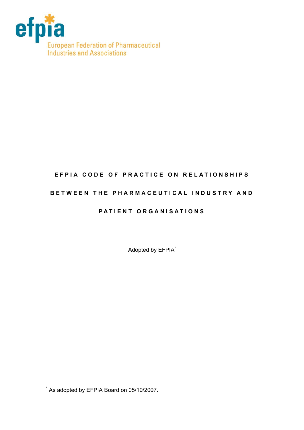

# EFPIA CODE OF PRACTICE ON RELATIONSHIPS

# **BETW E E N T H E PH A R M A C E U T ICAL I N D U S T R Y A N D**

# **P A TIENT ORGANI S A T I ONS**

Adopted by EFPI[A\\*](#page-19-0)

<span id="page-19-0"></span> \* As adopted by EFPIA Board on 05/10/2007.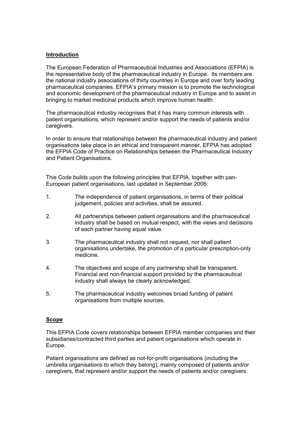#### **Introduction**

The European Federation of Pharmaceutical Industries and Associations (EFPIA) is the representative body of the pharmaceutical industry in Europe. Its members are the national industry associations of thirty countries in Europe and over forty leading pharmaceutical companies. EFPIA's primary mission is to promote the technological and economic development of the pharmaceutical industry in Europe and to assist in bringing to market medicinal products which improve human health.

The pharmaceutical industry recognises that it has many common interests with patient organisations, which represent and/or support the needs of patients and/or caregivers.

In order to ensure that relationships between the pharmaceutical industry and patient organisations take place in an ethical and transparent manner, EFPIA has adopted the EFPIA Code of Practice on Relationships between the Pharmaceutical Industry and Patient Organisations.

This Code builds upon the following principles that EFPIA, together with pan-European patient organisations, last updated in September 2006:

- 1. The independence of patient organisations, in terms of their political judgement, policies and activities, shall be assured.
- 2. All partnerships between patient organisations and the pharmaceutical industry shall be based on mutual respect, with the views and decisions of each partner having equal value.
- 3. The pharmaceutical industry shall not request, nor shall patient organisations undertake, the promotion of a particular prescription-only medicine.
- 4. The objectives and scope of any partnership shall be transparent. Financial and non-financial support provided by the pharmaceutical industry shall always be clearly acknowledged.
- 5. The pharmaceutical industry welcomes broad funding of patient organisations from multiple sources.

#### **Scope**

This EFPIA Code covers relationships between EFPIA member companies and their subsidiaries/contracted third parties and patient organisations which operate in Europe.

Patient organisations are defined as not-for-profit organisations (including the umbrella organisations to which they belong), mainly composed of patients and/or caregivers, that represent and/or support the needs of patients and/or caregivers.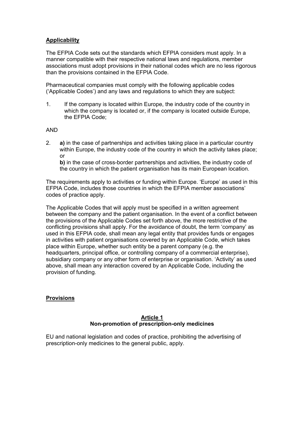#### **Applicability**

The EFPIA Code sets out the standards which EFPIA considers must apply. In a manner compatible with their respective national laws and regulations, member associations must adopt provisions in their national codes which are no less rigorous than the provisions contained in the EFPIA Code.

Pharmaceutical companies must comply with the following applicable codes ('Applicable Codes') and any laws and regulations to which they are subject:

1. If the company is located within Europe, the industry code of the country in which the company is located or, if the company is located outside Europe, the EFPIA Code;

#### AND

2. **a)** in the case of partnerships and activities taking place in a particular country within Europe, the industry code of the country in which the activity takes place; or

**b)** in the case of cross-border partnerships and activities, the industry code of the country in which the patient organisation has its main European location.

The requirements apply to activities or funding within Europe. 'Europe' as used in this EFPIA Code, includes those countries in which the EFPIA member associations' codes of practice apply.

The Applicable Codes that will apply must be specified in a written agreement between the company and the patient organisation. In the event of a conflict between the provisions of the Applicable Codes set forth above, the more restrictive of the conflicting provisions shall apply. For the avoidance of doubt, the term 'company' as used in this EFPIA code, shall mean any legal entity that provides funds or engages in activities with patient organisations covered by an Applicable Code, which takes place within Europe, whether such entity be a parent company (e.g. the headquarters, principal office, or controlling company of a commercial enterprise), subsidiary company or any other form of enterprise or organisation. 'Activity' as used above, shall mean any interaction covered by an Applicable Code, including the provision of funding.

#### **Provisions**

#### **Article 1 Non-promotion of prescription-only medicines**

EU and national legislation and codes of practice, prohibiting the advertising of prescription-only medicines to the general public, apply.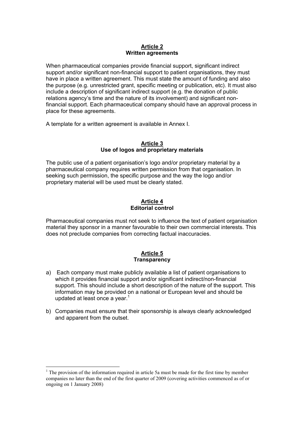#### **Article 2 Written agreements**

When pharmaceutical companies provide financial support, significant indirect support and/or significant non-financial support to patient organisations, they must have in place a written agreement. This must state the amount of funding and also the purpose (e.g. unrestricted grant, specific meeting or publication, etc). It must also include a description of significant indirect support (e.g. the donation of public relations agency's time and the nature of its involvement) and significant nonfinancial support. Each pharmaceutical company should have an approval process in place for these agreements.

A template for a written agreement is available in Annex I.

#### **Article 3 Use of logos and proprietary materials**

The public use of a patient organisation's logo and/or proprietary material by a pharmaceutical company requires written permission from that organisation. In seeking such permission, the specific purpose and the way the logo and/or proprietary material will be used must be clearly stated.

#### **Article 4 Editorial control**

Pharmaceutical companies must not seek to influence the text of patient organisation material they sponsor in a manner favourable to their own commercial interests. This does not preclude companies from correcting factual inaccuracies.

#### **Article 5 Transparency**

- a) Each company must make publicly available a list of patient organisations to which it provides financial support and/or significant indirect/non-financial support. This should include a short description of the nature of the support. This information may be provided on a national or European level and should be updated at least once a year. $1$
- b) Companies must ensure that their sponsorship is always clearly acknowledged and apparent from the outset.

 $\overline{a}$ 

<span id="page-22-0"></span> $<sup>1</sup>$  The provision of the information required in article 5a must be made for the first time by member</sup> companies no later than the end of the first quarter of 2009 (covering activities commenced as of or ongoing on 1 January 2008)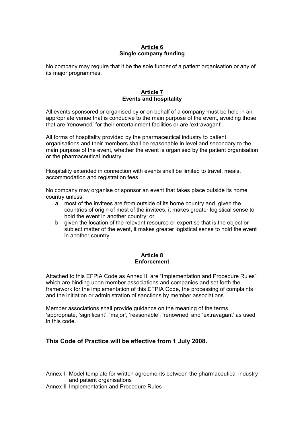#### **Article 6 Single company funding**

No company may require that it be the sole funder of a patient organisation or any of its major programmes.

#### **Article 7 Events and hospitality**

All events sponsored or organised by or on behalf of a company must be held in an appropriate venue that is conducive to the main purpose of the event, avoiding those that are 'renowned' for their entertainment facilities or are 'extravagant'.

All forms of hospitality provided by the pharmaceutical industry to patient organisations and their members shall be reasonable in level and secondary to the main purpose of the event, whether the event is organised by the patient organisation or the pharmaceutical industry.

Hospitality extended in connection with events shall be limited to travel, meals, accommodation and registration fees.

No company may organise or sponsor an event that takes place outside its home country unless:

- a. most of the invitees are from outside of its home country and, given the countries of origin of most of the invitees, it makes greater logistical sense to hold the event in another country; or
- b. given the location of the relevant resource or expertise that is the object or subject matter of the event, it makes greater logistical sense to hold the event in another country.

#### **Article 8 Enforcement**

Attached to this EFPIA Code as Annex II, are "Implementation and Procedure Rules" which are binding upon member associations and companies and set forth the framework for the implementation of this EFPIA Code, the processing of complaints and the initiation or administration of sanctions by member associations.

Member associations shall provide guidance on the meaning of the terms 'appropriate, 'significant', 'major', 'reasonable', 'renowned' and 'extravagant' as used in this code.

## **This Code of Practice will be effective from 1 July 2008.**

Annex I Model template for written agreements between the pharmaceutical industry and patient organisations

Annex II Implementation and Procedure Rules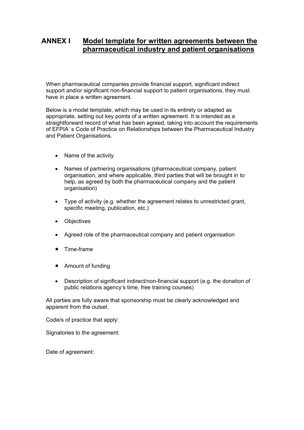# **ANNEX I Model template for written agreements between the pharmaceutical industry and patient organisations**

When pharmaceutical companies provide financial support, significant indirect support and/or significant non-financial support to patient organisations, they must have in place a written agreement.

Below is a model template, which may be used in its entirety or adapted as appropriate, setting out key points of a written agreement. It is intended as a straightforward record of what has been agreed, taking into account the requirements of EFPIA' s Code of Practice on Relationships between the Pharmaceutical Industry and Patient Organisations.

- Name of the activity
- Names of partnering organisations (pharmaceutical company, patient organisation, and where applicable, third parties that will be brought in to help, as agreed by both the pharmaceutical company and the patient organisation)
- Type of activity (e.g. whether the agreement relates to unrestricted grant, specific meeting, publication, etc.)
- **Objectives**
- Agreed role of the pharmaceutical company and patient organisation
- Time-frame
- Amount of funding
- Description of significant indirect/non-financial support (e.g. the donation of public relations agency's time, free training courses)

All parties are fully aware that sponsorship must be clearly acknowledged and apparent from the outset.

Code/s of practice that apply:

Signatories to the agreement:

Date of agreement: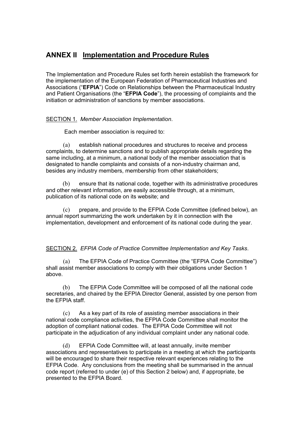# **ANNEX II Implementation and Procedure Rules**

The Implementation and Procedure Rules set forth herein establish the framework for the implementation of the European Federation of Pharmaceutical Industries and Associations ("**EFPIA**") Code on Relationships between the Pharmaceutical Industry and Patient Organisations (the "**EFPIA Code**"), the processing of complaints and the initiation or administration of sanctions by member associations.

SECTION 1. *Member Association Implementation*.

Each member association is required to:

(a) establish national procedures and structures to receive and process complaints, to determine sanctions and to publish appropriate details regarding the same including, at a minimum, a national body of the member association that is designated to handle complaints and consists of a non-industry chairman and, besides any industry members, membership from other stakeholders;

(b) ensure that its national code, together with its administrative procedures and other relevant information, are easily accessible through, at a minimum, publication of its national code on its website; and

(c) prepare, and provide to the EFPIA Code Committee (defined below), an annual report summarizing the work undertaken by it in connection with the implementation, development and enforcement of its national code during the year.

SECTION 2. *EFPIA Code of Practice Committee Implementation and Key Tasks*.

(a) The EFPIA Code of Practice Committee (the "EFPIA Code Committee") shall assist member associations to comply with their obligations under Section 1 above.

(b) The EFPIA Code Committee will be composed of all the national code secretaries, and chaired by the EFPIA Director General, assisted by one person from the EFPIA staff.

(c) As a key part of its role of assisting member associations in their national code compliance activities, the EFPIA Code Committee shall monitor the adoption of compliant national codes. The EFPIA Code Committee will not participate in the adjudication of any individual complaint under any national code.

(d) EFPIA Code Committee will, at least annually, invite member associations and representatives to participate in a meeting at which the participants will be encouraged to share their respective relevant experiences relating to the EFPIA Code. Any conclusions from the meeting shall be summarised in the annual code report (referred to under (e) of this Section 2 below) and, if appropriate, be presented to the EFPIA Board.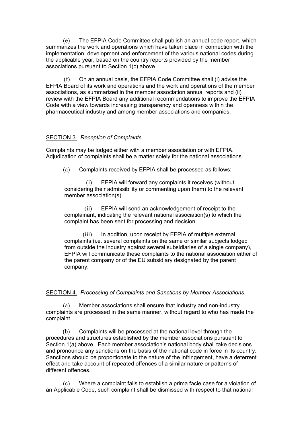(e) The EFPIA Code Committee shall publish an annual code report, which summarizes the work and operations which have taken place in connection with the implementation, development and enforcement of the various national codes during the applicable year, based on the country reports provided by the member associations pursuant to Section 1(c) above.

(f) On an annual basis, the EFPIA Code Committee shall (i) advise the EFPIA Board of its work and operations and the work and operations of the member associations, as summarized in the member association annual reports and (ii) review with the EFPIA Board any additional recommendations to improve the EFPIA Code with a view towards increasing transparency and openness within the pharmaceutical industry and among member associations and companies.

#### SECTION 3. *Reception of Complaints*.

Complaints may be lodged either with a member association or with EFPIA. Adjudication of complaints shall be a matter solely for the national associations.

(a) Complaints received by EFPIA shall be processed as follows:

(i) EFPIA will forward any complaints it receives (without considering their admissibility or commenting upon them) to the relevant member association(s).

(ii) EFPIA will send an acknowledgement of receipt to the complainant, indicating the relevant national association(s) to which the complaint has been sent for processing and decision.

(iii) In addition, upon receipt by EFPIA of multiple external complaints (i.e. several complaints on the same or similar subjects lodged from outside the industry against several subsidiaries of a single company), EFPIA will communicate these complaints to the national association either of the parent company or of the EU subsidiary designated by the parent company.

SECTION 4. *Processing of Complaints and Sanctions by Member Associations*.

(a) Member associations shall ensure that industry and non-industry complaints are processed in the same manner, without regard to who has made the complaint.

(b) Complaints will be processed at the national level through the procedures and structures established by the member associations pursuant to Section 1(a) above. Each member association's national body shall take decisions and pronounce any sanctions on the basis of the national code in force in its country. Sanctions should be proportionate to the nature of the infringement, have a deterrent effect and take account of repeated offences of a similar nature or patterns of different offences.

(c) Where a complaint fails to establish a prima facie case for a violation of an Applicable Code, such complaint shall be dismissed with respect to that national